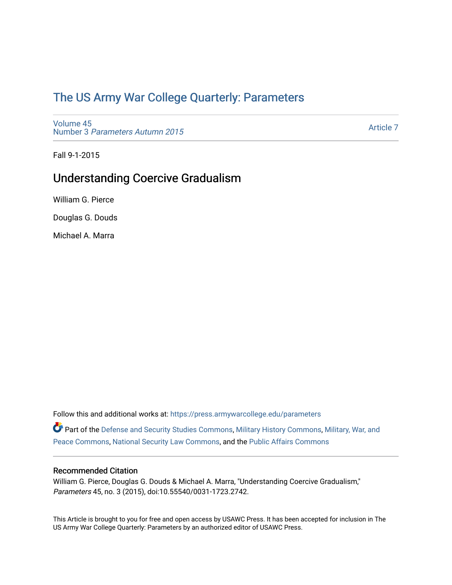# [The US Army War College Quarterly: Parameters](https://press.armywarcollege.edu/parameters)

[Volume 45](https://press.armywarcollege.edu/parameters/vol45) Number 3 [Parameters Autumn 2015](https://press.armywarcollege.edu/parameters/vol45/iss3)

[Article 7](https://press.armywarcollege.edu/parameters/vol45/iss3/7) 

Fall 9-1-2015

# Understanding Coercive Gradualism

William G. Pierce

Douglas G. Douds

Michael A. Marra

Follow this and additional works at: [https://press.armywarcollege.edu/parameters](https://press.armywarcollege.edu/parameters?utm_source=press.armywarcollege.edu%2Fparameters%2Fvol45%2Fiss3%2F7&utm_medium=PDF&utm_campaign=PDFCoverPages) 

Part of the [Defense and Security Studies Commons](http://network.bepress.com/hgg/discipline/394?utm_source=press.armywarcollege.edu%2Fparameters%2Fvol45%2Fiss3%2F7&utm_medium=PDF&utm_campaign=PDFCoverPages), [Military History Commons,](http://network.bepress.com/hgg/discipline/504?utm_source=press.armywarcollege.edu%2Fparameters%2Fvol45%2Fiss3%2F7&utm_medium=PDF&utm_campaign=PDFCoverPages) [Military, War, and](http://network.bepress.com/hgg/discipline/861?utm_source=press.armywarcollege.edu%2Fparameters%2Fvol45%2Fiss3%2F7&utm_medium=PDF&utm_campaign=PDFCoverPages)  [Peace Commons](http://network.bepress.com/hgg/discipline/861?utm_source=press.armywarcollege.edu%2Fparameters%2Fvol45%2Fiss3%2F7&utm_medium=PDF&utm_campaign=PDFCoverPages), [National Security Law Commons,](http://network.bepress.com/hgg/discipline/1114?utm_source=press.armywarcollege.edu%2Fparameters%2Fvol45%2Fiss3%2F7&utm_medium=PDF&utm_campaign=PDFCoverPages) and the [Public Affairs Commons](http://network.bepress.com/hgg/discipline/399?utm_source=press.armywarcollege.edu%2Fparameters%2Fvol45%2Fiss3%2F7&utm_medium=PDF&utm_campaign=PDFCoverPages) 

# Recommended Citation

William G. Pierce, Douglas G. Douds & Michael A. Marra, "Understanding Coercive Gradualism," Parameters 45, no. 3 (2015), doi:10.55540/0031-1723.2742.

This Article is brought to you for free and open access by USAWC Press. It has been accepted for inclusion in The US Army War College Quarterly: Parameters by an authorized editor of USAWC Press.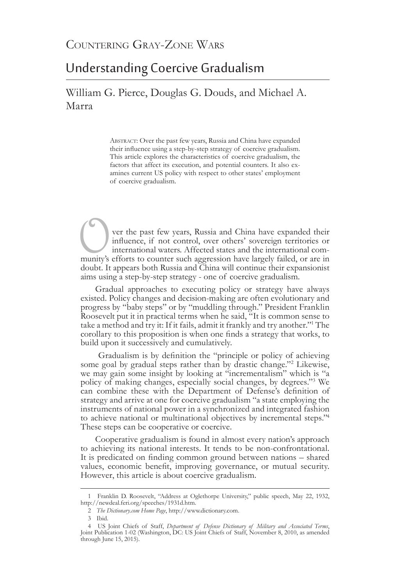# Understanding Coercive Gradualism

William G. Pierce, Douglas G. Douds, and Michael A. Marra

> ABSTRACT: Over the past few years, Russia and China have expanded their influence using a step-by-step strategy of coercive gradualism. This article explores the characteristics of coercive gradualism, the factors that affect its execution, and potential counters. It also examines current US policy with respect to other states' employment of coercive gradualism.

Ver the past few years, Russia and China have expanded their influence, if not control, over others' sovereign territories or international waters. Affected states and the international community's efforts to counter such influence, if not control, over others' sovereign territories or international waters. Affected states and the international community's efforts to counter such aggression have largely failed, or are in doubt. It appears both Russia and China will continue their expansionist aims using a step-by-step strategy - one of coercive gradualism.

Gradual approaches to executing policy or strategy have always existed. Policy changes and decision-making are often evolutionary and progress by "baby steps" or by "muddling through." President Franklin Roosevelt put it in practical terms when he said, "It is common sense to take a method and try it: If it fails, admit it frankly and try another."<sup>1</sup> The corollary to this proposition is when one finds a strategy that works, to build upon it successively and cumulatively.

 Gradualism is by definition the "principle or policy of achieving some goal by gradual steps rather than by drastic change."<sup>2</sup> Likewise, we may gain some insight by looking at "incrementalism" which is "a policy of making changes, especially social changes, by degrees."<sup>3</sup> We can combine these with the Department of Defense's definition of strategy and arrive at one for coercive gradualism "a state employing the instruments of national power in a synchronized and integrated fashion to achieve national or multinational objectives by incremental steps."<sup>4</sup> These steps can be cooperative or coercive.

Cooperative gradualism is found in almost every nation's approach to achieving its national interests. It tends to be non-confrontational. It is predicated on finding common ground between nations – shared values, economic benefit, improving governance, or mutual security. However, this article is about coercive gradualism.

<sup>1</sup> Franklin D. Roosevelt, "Address at Oglethorpe University," public speech, May 22, 1932, http://newdeal.feri.org/speeches/1931d.htm.

<sup>2</sup> *The Dictionary.com Home Page*, http://www.dictionary.com.

<sup>3</sup> Ibid.

<sup>4</sup> US Joint Chiefs of Staff, *Department of Defense Dictionary of Military and Associated Terms*, Joint Publication 1-02 (Washington, DC: US Joint Chiefs of Staff, November 8, 2010, as amended through June 15, 2015).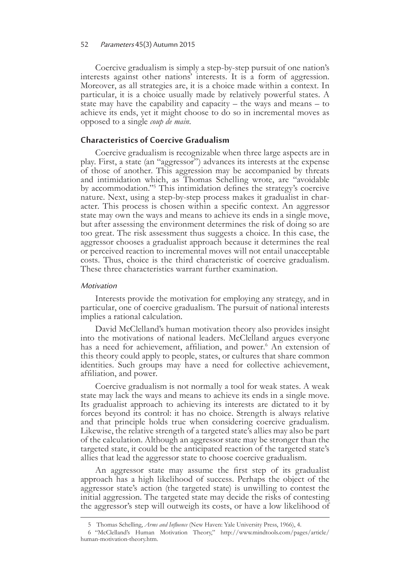#### 52 Parameters 45(3) Autumn 2015

Coercive gradualism is simply a step-by-step pursuit of one nation's interests against other nations' interests. It is a form of aggression. Moreover, as all strategies are, it is a choice made within a context. In particular, it is a choice usually made by relatively powerful states. A state may have the capability and capacity – the ways and means – to achieve its ends, yet it might choose to do so in incremental moves as opposed to a single *coup de main*.

# **Characteristics of Coercive Gradualism**

Coercive gradualism is recognizable when three large aspects are in play. First, a state (an "aggressor") advances its interests at the expense of those of another. This aggression may be accompanied by threats and intimidation which, as Thomas Schelling wrote, are "avoidable by accommodation."5 This intimidation defines the strategy's coercive nature. Next, using a step-by-step process makes it gradualist in char- acter. This process is chosen within a specific context. An aggressor state may own the ways and means to achieve its ends in a single move, but after assessing the environment determines the risk of doing so are too great. The risk assessment thus suggests a choice. In this case, the aggressor chooses a gradualist approach because it determines the real or perceived reaction to incremental moves will not entail unacceptable costs. Thus, choice is the third characteristic of coercive gradualism. These three characteristics warrant further examination.

#### **Motivation**

Interests provide the motivation for employing any strategy, and in particular, one of coercive gradualism. The pursuit of national interests implies a rational calculation.

David McClelland's human motivation theory also provides insight into the motivations of national leaders. McClelland argues everyone has a need for achievement, affiliation, and power.<sup>6</sup> An extension of this theory could apply to people, states, or cultures that share common identities. Such groups may have a need for collective achievement, affiliation, and power.

Coercive gradualism is not normally a tool for weak states. A weak state may lack the ways and means to achieve its ends in a single move. Its gradualist approach to achieving its interests are dictated to it by forces beyond its control: it has no choice. Strength is always relative and that principle holds true when considering coercive gradualism. Likewise, the relative strength of a targeted state's allies may also be part of the calculation. Although an aggressor state may be stronger than the targeted state, it could be the anticipated reaction of the targeted state's allies that lead the aggressor state to choose coercive gradualism.

An aggressor state may assume the first step of its gradualist approach has a high likelihood of success. Perhaps the object of the aggressor state's action (the targeted state) is unwilling to contest the initial aggression. The targeted state may decide the risks of contesting the aggressor's step will outweigh its costs, or have a low likelihood of

<sup>5</sup> Thomas Schelling, *Arms and Influence* (New Haven: Yale University Press, 1966), 4.

<sup>6     &</sup>quot;McClelland's Human Motivation Theory," http://www.mindtools.com/pages/article/ human-motivation-theory.htm.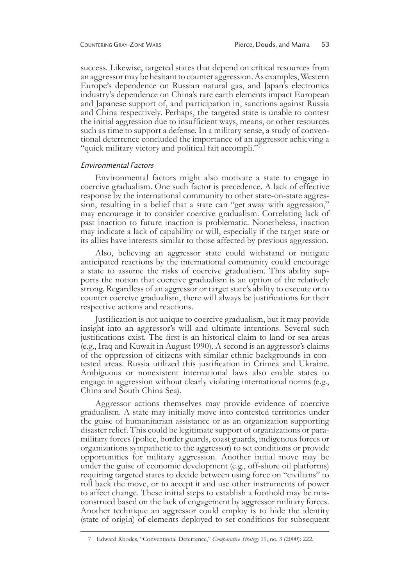success. Likewise, targeted states that depend on critical resources from an aggressor may be hesitant to counter aggression. As examples, Western Europe's dependence on Russian natural gas, and Japan's electronics industry's dependence on China's rare earth elements impact European and Japanese support of, and participation in, sanctions against Russia and China respectively. Perhaps, the targeted state is unable to contest the initial aggression due to insufficient ways, means, or other resources such as time to support a defense. In a military sense, a study of conven- tional deterrence concluded the importance of an aggressor achieving a "quick military victory and political fait accompli."<sup>7</sup>

#### Environmental Factors

Environmental factors might also motivate a state to engage in coercive gradualism. One such factor is precedence. A lack of effective response by the international community to other state-on-state aggression, resulting in a belief that a state can "get away with aggression," may encourage it to consider coercive gradualism. Correlating lack of past inaction to future inaction is problematic. Nonetheless, inaction may indicate a lack of capability or will, especially if the target state or its allies have interests similar to those affected by previous aggression.

Also, believing an aggressor state could withstand or mitigate anticipated reactions by the international community could encourage a state to assume the risks of coercive gradualism. This ability sup- ports the notion that coercive gradualism is an option of the relatively strong. Regardless of an aggressor or target state's ability to execute or to counter coercive gradualism, there will always be justifications for their respective actions and reactions.

Justification is not unique to coercive gradualism, but it may provide insight into an aggressor's will and ultimate intentions. Several such justifications exist. The first is an historical claim to land or sea areas (e.g., Iraq and Kuwait in August 1990). A second is an aggressor's claims of the oppression of citizens with similar ethnic backgrounds in contested areas. Russia utilized this justification in Crimea and Ukraine. Ambiguous or nonexistent international laws also enable states to engage in aggression without clearly violating international norms (e.g., China and South China Sea).

Aggressor actions themselves may provide evidence of coercive gradualism. A state may initially move into contested territories under the guise of humanitarian assistance or as an organization supporting disaster relief. This could be legitimate support of organizations or paramilitary forces (police, border guards, coast guards, indigenous forces or organizations sympathetic to the aggressor) to set conditions or provide opportunities for military aggression. Another initial move may be under the guise of economic development (e.g., off-shore oil platforms) requiring targeted states to decide between using force on "civilians" to roll back the move, or to accept it and use other instruments of power to affect change. These initial steps to establish a foothold may be misconstrued based on the lack of engagement by aggressor military forces. Another technique an aggressor could employ is to hide the identity (state of origin) of elements deployed to set conditions for subsequent

<sup>7</sup> Edward Rhodes, "Conventional Deterrence," *Comparative Strategy* 19, no. 3 (2000): 222.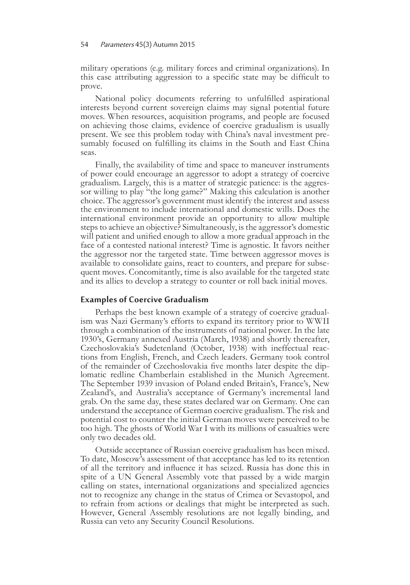### 54 Parameters 45(3) Autumn 2015

military operations (e.g. military forces and criminal organizations). In this case attributing aggression to a specific state may be difficult to prove.

National policy documents referring to unfulfilled aspirational interests beyond current sovereign claims may signal potential future moves. When resources, acquisition programs, and people are focused on achieving those claims, evidence of coercive gradualism is usually present. We see this problem today with China's naval investment presumably focused on fulfilling its claims in the South and East China seas.

Finally, the availability of time and space to maneuver instruments of power could encourage an aggressor to adopt a strategy of coercive gradualism. Largely, this is a matter of strategic patience: is the aggressor willing to play "the long game?" Making this calculation is another choice. The aggressor's government must identify the interest and assess the environment to include international and domestic wills. Does the international environment provide an opportunity to allow multiple steps to achieve an objective? Simultaneously, is the aggressor's domestic will patient and unified enough to allow a more gradual approach in the face of a contested national interest? Time is agnostic. It favors neither the aggressor nor the targeted state. Time between aggressor moves is available to consolidate gains, react to counters, and prepare for subsequent moves. Concomitantly, time is also available for the targeted state and its allies to develop a strategy to counter or roll back initial moves.

### **Examples of Coercive Gradualism**

Perhaps the best known example of a strategy of coercive gradualism was Nazi Germany's efforts to expand its territory prior to WWII through a combination of the instruments of national power. In the late 1930's, Germany annexed Austria (March, 1938) and shortly thereafter, Czechoslovakia's Sudetenland (October, 1938) with ineffectual reactions from English, French, and Czech leaders. Germany took control of the remainder of Czechoslovakia five months later despite the dip- lomatic redline Chamberlain established in the Munich Agreement. The September 1939 invasion of Poland ended Britain's, France's, New Zealand's, and Australia's acceptance of Germany's incremental land grab. On the same day, these states declared war on Germany. One can understand the acceptance of German coercive gradualism. The risk and potential cost to counter the initial German moves were perceived to be too high. The ghosts of World War I with its millions of casualties were only two decades old.

Outside acceptance of Russian coercive gradualism has been mixed. To date, Moscow's assessment of that acceptance has led to its retention of all the territory and influence it has seized. Russia has done this in spite of a UN General Assembly vote that passed by a wide margin calling on states, international organizations and specialized agencies not to recognize any change in the status of Crimea or Sevastopol, and to refrain from actions or dealings that might be interpreted as such. However, General Assembly resolutions are not legally binding, and Russia can veto any Security Council Resolutions.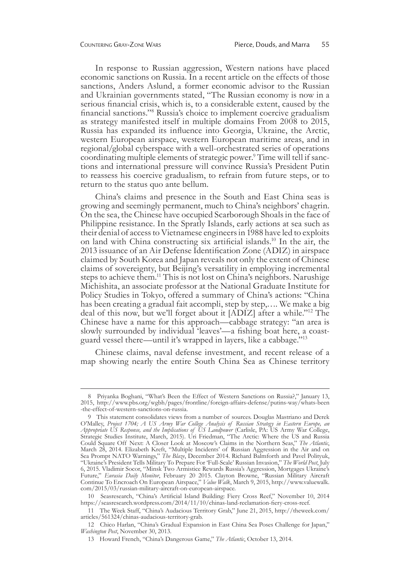In response to Russian aggression, Western nations have placed economic sanctions on Russia. In a recent article on the effects of those sanctions, Anders Aslund, a former economic advisor to the Russian and Ukrainian governments stated, "The Russian economy is now in a serious financial crisis, which is, to a considerable extent, caused by the financial sanctions."8 Russia's choice to implement coercive gradualism as strategy manifested itself in multiple domains From 2008 to 2015, Russia has expanded its influence into Georgia, Ukraine, the Arctic, western European airspace, western European maritime areas, and in regional/global cyberspace with a well-orchestrated series of operations coordinating multiple elements of strategic power.9 Time will tell if sanctions and international pressure will convince Russia's President Putin to reassess his coercive gradualism, to refrain from future steps, or to return to the status quo ante bellum.

China's claims and presence in the South and East China seas is growing and seemingly permanent, much to China's neighbors' chagrin. On the sea, the Chinese have occupied Scarborough Shoals in the face of Philippine resistance. In the Spratly Islands, early actions at sea such as their denial of access to Vietnamese engineers in 1988 have led to exploits on land with China constructing six artificial islands.<sup>10</sup> In the air, the 2013 issuance of an Air Defense Identification Zone (ADIZ) in airspace claimed by South Korea and Japan reveals not only the extent of Chinese claims of sovereignty, but Beijing's versatility in employing incremental steps to achieve them.<sup>11</sup> This is not lost on China's neighbors. Narushige Michishita, an associate professor at the National Graduate Institute for Policy Studies in Tokyo, offered a summary of China's actions: "China has been creating a gradual fait accompli, step by step,…. We make a big deal of this now, but we'll forget about it [ADIZ] after a while."12 The Chinese have a name for this approach—cabbage strategy: "an area is slowly surrounded by individual 'leaves'—a fishing boat here, a coastguard vessel there—until it's wrapped in layers, like a cabbage."<sup>13</sup>

Chinese claims, naval defense investment, and recent release of a map showing nearly the entire South China Sea as Chinese territory

<sup>8</sup> Priyanka Boghani, "What's Been the Effect of Western Sanctions on Russia?," January 13, 2015, http://www.pbs.org/wgbh/pages/frontline/foreign-affairs-defense/putins-way/whats-been -the-effect-of-western-sanctions-on-russia.

<sup>9</sup> This statement consolidates views from a number of sources. Douglas Mastriano and Derek O'Malley, *Project 1704; A US Army War College Analysis of Russian Strategy in Eastern Europe, an Appropriate US Response, and the Implications of US Landpower* (Carlisle, PA: US Army War College, Strategic Studies Institute, March, 2015). Uri Friedman, "The Arctic: Where the US and Russia Could Square Off Next: A Closer Look at Moscow's Claims in the Northern Seas," *The Atlantic*, March 28, 2014. Elizabeth Kreft, "Multiple Incidents' of Russian Aggression in the Air and on Sea Prompt NATO Warnings," *The Blaze*, December 2014. Richard Balmforth and Pavel Polityuk, "Ukraine's President Tells Military To Prepare For 'Full-Scale' Russian Invasion," *The World Post*, July 6, 2015. Vladimir Socor, "Minsk Two Armistice Rewards Russia's Aggression, Mortgages Ukraine's Future," *Eurasia Daily Monitor*, February 20 2015. Clayton Browne, "Russian Military Aircraft Continue To Encroach On European Airspace," *Value Walk*, March 9, 2015, http://www.valuewalk. com/2015/03/russian-military-aircraft-on-european-airspace.

<sup>10</sup> Seasresearch, "China's Artificial Island Building: Fiery Cross Reef," November 10, 2014 https://seasresearch.wordpress.com/2014/11/10/chinas-land-reclamation-fiery-cross-reef.

<sup>11</sup> The Week Staff, "China's Audacious Territory Grab," June 21, 2015, http://theweek.com/ articles/561324/chinas-audacious-territory-grab.

<sup>12</sup> Chico Harlan, "China's Gradual Expansion in East China Sea Poses Challenge for Japan," *Washington Post*, November 30, 2013.

<sup>13</sup> Howard French, "China's Dangerous Game," *The Atlantic*, October 13, 2014.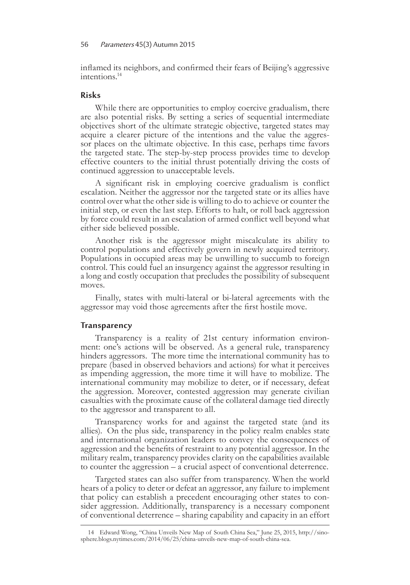inflamed its neighbors, and confirmed their fears of Beijing's aggressive intentions.<sup>14</sup>

## **Risks**

While there are opportunities to employ coercive gradualism, there are also potential risks. By setting a series of sequential intermediate objectives short of the ultimate strategic objective, targeted states may acquire a clearer picture of the intentions and the value the aggres- sor places on the ultimate objective. In this case, perhaps time favors the targeted state. The step-by-step process provides time to develop effective counters to the initial thrust potentially driving the costs of continued aggression to unacceptable levels.

A significant risk in employing coercive gradualism is conflict escalation. Neither the aggressor nor the targeted state or its allies have control over what the other side is willing to do to achieve or counter the initial step, or even the last step. Efforts to halt, or roll back aggression by force could result in an escalation of armed conflict well beyond what either side believed possible.

Another risk is the aggressor might miscalculate its ability to control populations and effectively govern in newly acquired territory. Populations in occupied areas may be unwilling to succumb to foreign control. This could fuel an insurgency against the aggressor resulting in a long and costly occupation that precludes the possibility of subsequent moves.

Finally, states with multi-lateral or bi-lateral agreements with the aggressor may void those agreements after the first hostile move.

### **Transparency**

Transparency is a reality of 21st century information environment: one's actions will be observed. As a general rule, transparency hinders aggressors. The more time the international community has to prepare (based in observed behaviors and actions) for what it perceives as impending aggression, the more time it will have to mobilize. The international community may mobilize to deter, or if necessary, defeat the aggression. Moreover, contested aggression may generate civilian casualties with the proximate cause of the collateral damage tied directly to the aggressor and transparent to all.

Transparency works for and against the targeted state (and its allies). On the plus side, transparency in the policy realm enables state and international organization leaders to convey the consequences of aggression and the benefits of restraint to any potential aggressor. In the military realm, transparency provides clarity on the capabilities available to counter the aggression – a crucial aspect of conventional deterrence.

Targeted states can also suffer from transparency. When the world hears of a policy to deter or defeat an aggressor, any failure to implement that policy can establish a precedent encouraging other states to consider aggression. Additionally, transparency is a necessary component of conventional deterrence – sharing capability and capacity in an effort

<sup>14</sup> Edward Wong, "China Unveils New Map of South China Sea," June 25, 2015, http://sinosphere.blogs.nytimes.com/2014/06/25/china-unveils-new-map-of-south-china-sea.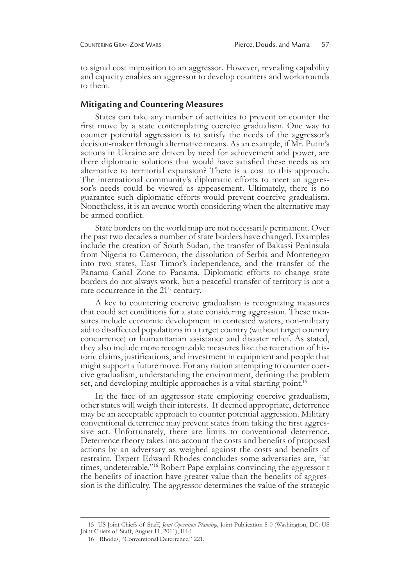to signal cost imposition to an aggressor. However, revealing capability and capacity enables an aggressor to develop counters and workarounds to them.

### **Mitigating and Countering Measures**

States can take any number of activities to prevent or counter the first move by a state contemplating coercive gradualism. One way to counter potential aggression is to satisfy the needs of the aggressor's decision-maker through alternative means. As an example, if Mr. Putin's actions in Ukraine are driven by need for achievement and power, are there diplomatic solutions that would have satisfied these needs as an alternative to territorial expansion? There is a cost to this approach. The international community's diplomatic efforts to meet an aggres- sor's needs could be viewed as appeasement. Ultimately, there is no guarantee such diplomatic efforts would prevent coercive gradualism. Nonetheless, it is an avenue worth considering when the alternative may be armed conflict.

State borders on the world map are not necessarily permanent. Over the past two decades a number of state borders have changed. Examples include the creation of South Sudan, the transfer of Bakassi Peninsula from Nigeria to Cameroon, the dissolution of Serbia and Montenegro into two states, East Timor's independence, and the transfer of the Panama Canal Zone to Panama. Diplomatic efforts to change state borders do not always work, but a peaceful transfer of territory is not a rare occurrence in the 21<sup>st</sup> century.

A key to countering coercive gradualism is recognizing measures that could set conditions for a state considering aggression. These measures include economic development in contested waters, non-military aid to disaffected populations in a target country (without target country concurrence) or humanitarian assistance and disaster relief. As stated, they also include more recognizable measures like the reiteration of historic claims, justifications, and investment in equipment and people that might support a future move. For any nation attempting to counter coer-<br>cive gradualism, understanding the environment, defining the problem set, and developing multiple approaches is a vital starting point.<sup>15</sup>

In the face of an aggressor state employing coercive gradualism, other states will weigh their interests. If deemed appropriate, deterrence may be an acceptable approach to counter potential aggression. Military conventional deterrence may prevent states from taking the first aggressive act. Unfortunately, there are limits to conventional deterrence. Deterrence theory takes into account the costs and benefits of proposed actions by an adversary as weighed against the costs and benefits of restraint. Expert Edward Rhodes concludes some adversaries are, "at times, undeterrable."<sup>16</sup> Robert Pape explains convincing the aggressor t the benefits of inaction have greater value than the benefits of aggression is the difficulty. The aggressor determines the value of the strategic

<sup>15</sup>US Joint Chiefs of Staff, *Joint Operation Planning*, Joint Publication 5-0 (Washington, DC: US Joint Chiefs of Staff, August 11, 2011), III-1.

<sup>16</sup> Rhodes, "Conventional Deterrence," 221.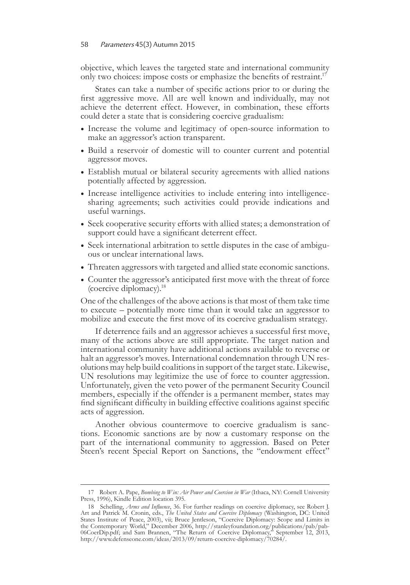objective, which leaves the targeted state and international community only two choices: impose costs or emphasize the benefits of restraint.<sup>17</sup>

States can take a number of specific actions prior to or during the first aggressive move. All are well known and individually, may not achieve the deterrent effect. However, in combination, these efforts could deter a state that is considering coercive gradualism:

- **•** Increase the volume and legitimacy of open-source information to make an aggressor's action transparent.
- **•** Build a reservoir of domestic will to counter current and potential aggressor moves.
- **•** Establish mutual or bilateral security agreements with allied nations potentially affected by aggression.
- **•** Increase intelligence activities to include entering into intelligencesharing agreements; such activities could provide indications and useful warnings.
- **•** Seek cooperative security efforts with allied states; a demonstration of support could have a significant deterrent effect.
- **•** Seek international arbitration to settle disputes in the case of ambigu- ous or unclear international laws.
- **•** Threaten aggressors with targeted and allied state economic sanctions.
- **•** Counter the aggressor's anticipated first move with the threat of force (coercive diplomacy).18

One of the challenges of the above actions is that most of them take time to execute – potentially more time than it would take an aggressor to mobilize and execute the first move of its coercive gradualism strategy.

If deterrence fails and an aggressor achieves a successful first move, many of the actions above are still appropriate. The target nation and international community have additional actions available to reverse or halt an aggressor's moves. International condemnation through UN resolutions may help build coalitions in support of the target state. Likewise, UN resolutions may legitimize the use of force to counter aggression. Unfortunately, given the veto power of the permanent Security Council members, especially if the offender is a permanent member, states may find significant difficulty in building effective coalitions against specific acts of aggression.

Another obvious countermove to coercive gradualism is sanctions. Economic sanctions are by now a customary response on the part of the international community to aggression. Based on Peter Steen's recent Special Report on Sanctions, the "endowment effect"

<sup>17</sup> Robert A. Pape, *Bombing to Win: Air Power and Coercion in War* (Ithaca, NY: Cornell University Press, 1996), Kindle Edition location 395.

<sup>18</sup> Schelling, *Arms and Influence*, 36. For further readings on coercive diplomacy, see Robert J. Art and Patrick M. Cronin, eds., *The United States and Coercive Diplomacy* (Washington, DC: United States Institute of Peace, 2003), vii; Bruce Jentleson, "Coercive Diplomacy: Scope and Limits in the Contemporary World," December 2006, http://stanleyfoundation.org/publications/pab/pab-06CoerDip.pdf; and Sam Brannen, "The Return of Coercive Diplomacy," September 12, 2013, http://www.defenseone.com/ideas/2013/09/return-coercive-diplomacy/70284/.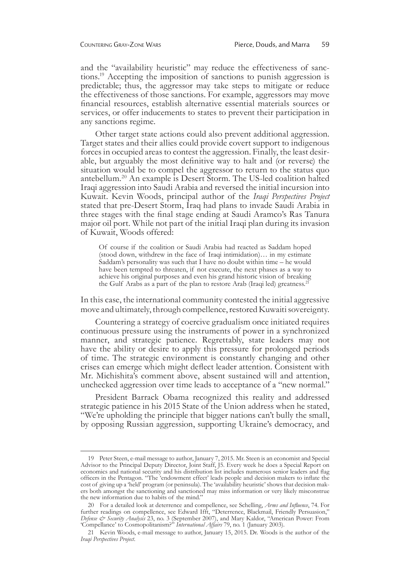and the "availability heuristic" may reduce the effectiveness of sanctions.<sup>19</sup> Accepting the imposition of sanctions to punish aggression is predictable; thus, the aggressor may take steps to mitigate or reduce the effectiveness of those sanctions. For example, aggressors may move financial resources, establish alternative essential materials sources or services, or offer inducements to states to prevent their participation in any sanctions regime.

Other target state actions could also prevent additional aggression. Target states and their allies could provide covert support to indigenous forces in occupied areas to contest the aggression. Finally, the least desir- able, but arguably the most definitive way to halt and (or reverse) the situation would be to compel the aggressor to return to the status quo antebellum.20 An example is Desert Storm. The US-led coalition halted Iraqi aggression into Saudi Arabia and reversed the initial incursion into Kuwait. Kevin Woods, principal author of the *Iraqi Perspectives Project* stated that pre-Desert Storm, Iraq had plans to invade Saudi Arabia in three stages with the final stage ending at Saudi Aramco's Ras Tanura major oil port. While not part of the initial Iraqi plan during its invasion of Kuwait, Woods offered:

Of course if the coalition or Saudi Arabia had reacted as Saddam hoped (stood down, withdrew in the face of Iraqi intimidation)… in my estimate Saddam's personality was such that I have no doubt within time – he would have been tempted to threaten, if not execute, the next phases as a way to achieve his original purposes and even his grand historic vision of breaking the Gulf Arabs as a part of the plan to restore Arab (Iraqi led) greatness.<sup>21</sup>

In this case, the international community contested the initial aggressive move and ultimately, through compellence, restored Kuwaiti sovereignty.

Countering a strategy of coercive gradualism once initiated requires continuous pressure using the instruments of power in a synchronized manner, and strategic patience. Regrettably, state leaders may not have the ability or desire to apply this pressure for prolonged periods of time. The strategic environment is constantly changing and other crises can emerge which might deflect leader attention. Consistent with Mr. Michishita's comment above, absent sustained will and attention, unchecked aggression over time leads to acceptance of a "new normal."

President Barrack Obama recognized this reality and addressed strategic patience in his 2015 State of the Union address when he stated, "We're upholding the principle that bigger nations can't bully the small, by opposing Russian aggression, supporting Ukraine's democracy, and

<sup>19</sup> Peter Steen, e-mail message to author, January 7, 2015. Mr. Steen is an economist and Special Advisor to the Principal Deputy Director, Joint Staff, J5. Every week he does a Special Report on economics and national security and his distribution list includes numerous senior leaders and flag officers in the Pentagon. "The 'endowment effect' leads people and decision makers to inflate the cost of giving up a 'held' program (or peninsula). The 'availability heuristic' shows that decision makers both amongst the sanctioning and sanctioned may miss information or very likely misconstrue the new information due to habits of the mind."

<sup>20</sup> For a detailed look at deterrence and compellence, see Schelling, *Arms and Influence*, 74. For further readings on compellence, see Edward Ifft, "Deterrence, Blackmail, Friendly Persuasion," *Defense & Security Analysis* 23, no. 3 (September 2007), and Mary Kaldor, "American Power: From 'Compellance' to Cosmopolitanism?" *International Affairs* 79, no. 1 (January 2003).

<sup>21</sup> Kevin Woods, e-mail message to author, January 15, 2015. Dr. Woods is the author of the *Iraqi Perspectives Project*.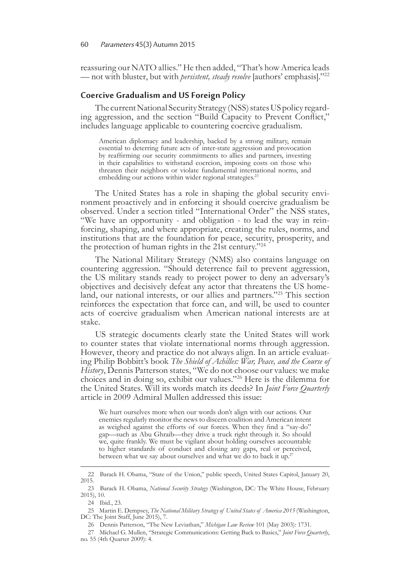reassuring our NATO allies." He then added, "That's how America leads — not with bluster, but with *persistent, steady resolve* [authors' emphasis]."<sup>22</sup>

## **Coercive Gradualism and US Foreign Policy**

The current National Security Strategy (NSS) states US policy regard- ing aggression, and the section "Build Capacity to Prevent Conflict," includes language applicable to countering coercive gradualism.

American diplomacy and leadership, backed by a strong military, remain essential to deterring future acts of inter-state aggression and provocation by reaffirming our security commitments to allies and partners, investing in their capabilities to withstand coercion, imposing costs on those who threaten their neighbors or violate fundamental international norms, and embedding our actions within wider regional strategies.<sup>23</sup>

The United States has a role in shaping the global security environment proactively and in enforcing it should coercive gradualism be observed. Under a section titled "International Order" the NSS states, "We have an opportunity - and obligation - to lead the way in reinforcing, shaping, and where appropriate, creating the rules, norms, and institutions that are the foundation for peace, security, prosperity, and the protection of human rights in the 21st century."<sup>24</sup>

The National Military Strategy (NMS) also contains language on countering aggression. "Should deterrence fail to prevent aggression, the US military stands ready to project power to deny an adversary's objectives and decisively defeat any actor that threatens the US homeland, our national interests, or our allies and partners."25 This section reinforces the expectation that force can, and will, be used to counter acts of coercive gradualism when American national interests are at stake.

US strategic documents clearly state the United States will work to counter states that violate international norms through aggression. However, theory and practice do not always align. In an article evaluat- ing Philip Bobbitt's book *The Shield of Achilles: War, Peace, and the Course of History*, Dennis Patterson states, "We do not choose our values: we make choices and in doing so, exhibit our values."<sup>26</sup> Here is the dilemma for the United States. Will its words match its deeds? In *Joint Force Quarterly* article in 2009 Admiral Mullen addressed this issue:

We hurt ourselves more when our words don't align with our actions. Our enemies regularly monitor the news to discern coalition and American intent as weighed against the efforts of our forces. When they find a "say-do" gap—such as Abu Ghraib—they drive a truck right through it. So should we, quite frankly. We must be vigilant about holding ourselves accountable to higher standards of conduct and closing any gaps, real or perceived, between what we say about ourselves and what we do to back it up.<sup>27</sup>

<sup>22</sup> Barack H. Obama, "State of the Union," public speech, United States Capitol, January 20, 2015.

<sup>23</sup> Barack H. Obama, *National Security Strategy* (Washington, DC: The White House, February 2015), 10.

<sup>24</sup> Ibid., 23.

<sup>25</sup> Martin E. Dempsey, *The National Military Strategy of United States of America 2015* (Washington, DC: The Joint Staff, June 2015), 7.

<sup>26</sup> Dennis Patterson, "The New Leviathan," *Michigan Law Review* 101 (May 2003): 1731.

<sup>27</sup> Michael G. Mullen, "Strategic Communications: Getting Back to Basics," *Joint Force Quarterly*, no. 55 (4th Quarter 2009): 4.